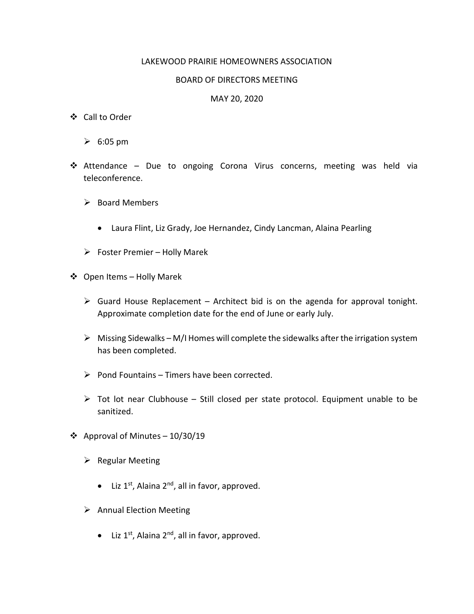## LAKEWOOD PRAIRIE HOMEOWNERS ASSOCIATION

## BOARD OF DIRECTORS MEETING

## MAY 20, 2020

- Call to Order
	- $\geqslant 6:05$  pm
- Attendance Due to ongoing Corona Virus concerns, meeting was held via teleconference.
	- $\triangleright$  Board Members
		- Laura Flint, Liz Grady, Joe Hernandez, Cindy Lancman, Alaina Pearling
	- $\triangleright$  Foster Premier Holly Marek
- Open Items Holly Marek
	- $\triangleright$  Guard House Replacement Architect bid is on the agenda for approval tonight. Approximate completion date for the end of June or early July.
	- $\triangleright$  Missing Sidewalks M/I Homes will complete the sidewalks after the irrigation system has been completed.
	- $\triangleright$  Pond Fountains Timers have been corrected.
	- $\triangleright$  Tot lot near Clubhouse Still closed per state protocol. Equipment unable to be sanitized.
- ❖ Approval of Minutes  $-10/30/19$ 
	- $\triangleright$  Regular Meeting
		- $\bullet$  Liz 1<sup>st</sup>, Alaina 2<sup>nd</sup>, all in favor, approved.
	- $\triangleright$  Annual Election Meeting
		- $\bullet$  Liz 1<sup>st</sup>, Alaina 2<sup>nd</sup>, all in favor, approved.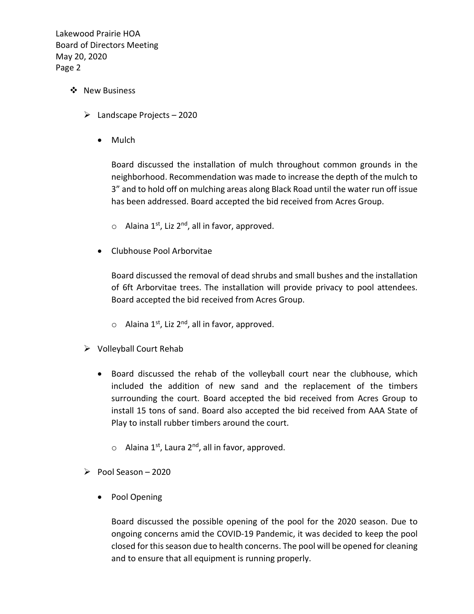- ❖ New Business
	- $\blacktriangleright$  Landscape Projects 2020
		- Mulch

Board discussed the installation of mulch throughout common grounds in the neighborhood. Recommendation was made to increase the depth of the mulch to 3" and to hold off on mulching areas along Black Road until the water run off issue has been addressed. Board accepted the bid received from Acres Group.

- $\circ$  Alaina 1<sup>st</sup>, Liz 2<sup>nd</sup>, all in favor, approved.
- Clubhouse Pool Arborvitae

Board discussed the removal of dead shrubs and small bushes and the installation of 6ft Arborvitae trees. The installation will provide privacy to pool attendees. Board accepted the bid received from Acres Group.

- $\circ$  Alaina 1<sup>st</sup>, Liz 2<sup>nd</sup>, all in favor, approved.
- $\triangleright$  Volleyball Court Rehab
	- Board discussed the rehab of the volleyball court near the clubhouse, which included the addition of new sand and the replacement of the timbers surrounding the court. Board accepted the bid received from Acres Group to install 15 tons of sand. Board also accepted the bid received from AAA State of Play to install rubber timbers around the court.
		- $\circ$  Alaina 1st, Laura 2<sup>nd</sup>, all in favor, approved.
- $\triangleright$  Pool Season 2020
	- Pool Opening

Board discussed the possible opening of the pool for the 2020 season. Due to ongoing concerns amid the COVID-19 Pandemic, it was decided to keep the pool closed for this season due to health concerns. The pool will be opened for cleaning and to ensure that all equipment is running properly.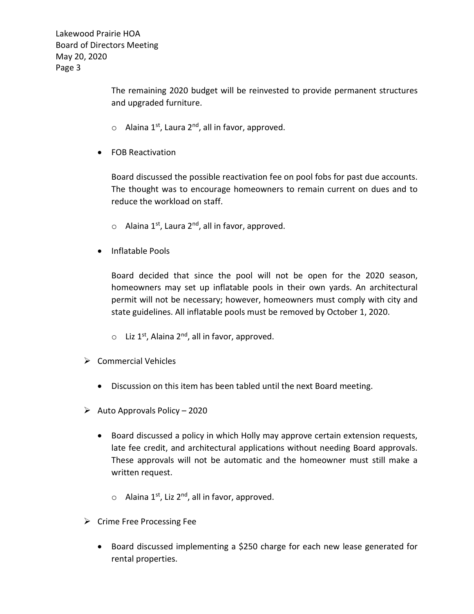> The remaining 2020 budget will be reinvested to provide permanent structures and upgraded furniture.

- $\circ$  Alaina 1<sup>st</sup>, Laura 2<sup>nd</sup>, all in favor, approved.
- FOB Reactivation

Board discussed the possible reactivation fee on pool fobs for past due accounts. The thought was to encourage homeowners to remain current on dues and to reduce the workload on staff.

- $\circ$  Alaina 1<sup>st</sup>, Laura 2<sup>nd</sup>, all in favor, approved.
- Inflatable Pools

Board decided that since the pool will not be open for the 2020 season, homeowners may set up inflatable pools in their own yards. An architectural permit will not be necessary; however, homeowners must comply with city and state guidelines. All inflatable pools must be removed by October 1, 2020.

- $\circ$  Liz 1<sup>st</sup>, Alaina 2<sup>nd</sup>, all in favor, approved.
- $\triangleright$  Commercial Vehicles
	- Discussion on this item has been tabled until the next Board meeting.
- $\blacktriangleright$  Auto Approvals Policy 2020
	- Board discussed a policy in which Holly may approve certain extension requests, late fee credit, and architectural applications without needing Board approvals. These approvals will not be automatic and the homeowner must still make a written request.
		- $\circ$  Alaina 1<sup>st</sup>, Liz 2<sup>nd</sup>, all in favor, approved.
- $\triangleright$  Crime Free Processing Fee
	- Board discussed implementing a \$250 charge for each new lease generated for rental properties.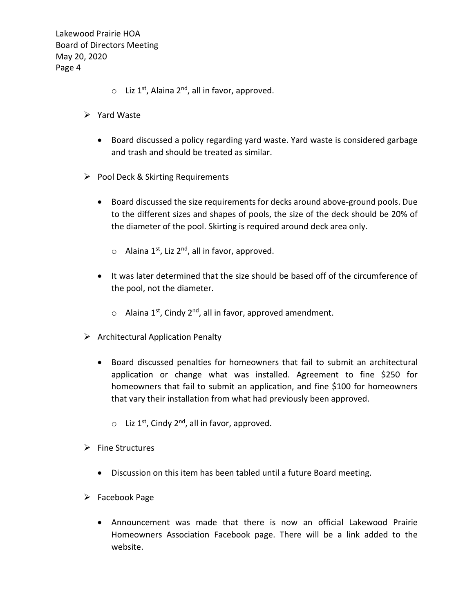- $\circ$  Liz 1<sup>st</sup>, Alaina 2<sup>nd</sup>, all in favor, approved.
- $\triangleright$  Yard Waste
	- Board discussed a policy regarding yard waste. Yard waste is considered garbage and trash and should be treated as similar.
- $\triangleright$  Pool Deck & Skirting Requirements
	- Board discussed the size requirements for decks around above-ground pools. Due to the different sizes and shapes of pools, the size of the deck should be 20% of the diameter of the pool. Skirting is required around deck area only.
		- $\circ$  Alaina 1<sup>st</sup>, Liz 2<sup>nd</sup>, all in favor, approved.
	- It was later determined that the size should be based off of the circumference of the pool, not the diameter.
		- $\circ$  Alaina 1<sup>st</sup>, Cindy 2<sup>nd</sup>, all in favor, approved amendment.
- $\triangleright$  Architectural Application Penalty
	- Board discussed penalties for homeowners that fail to submit an architectural application or change what was installed. Agreement to fine \$250 for homeowners that fail to submit an application, and fine \$100 for homeowners that vary their installation from what had previously been approved.
		- $\circ$  Liz 1<sup>st</sup>, Cindy 2<sup>nd</sup>, all in favor, approved.
- $\triangleright$  Fine Structures
	- Discussion on this item has been tabled until a future Board meeting.
- $\triangleright$  Facebook Page
	- Announcement was made that there is now an official Lakewood Prairie Homeowners Association Facebook page. There will be a link added to the website.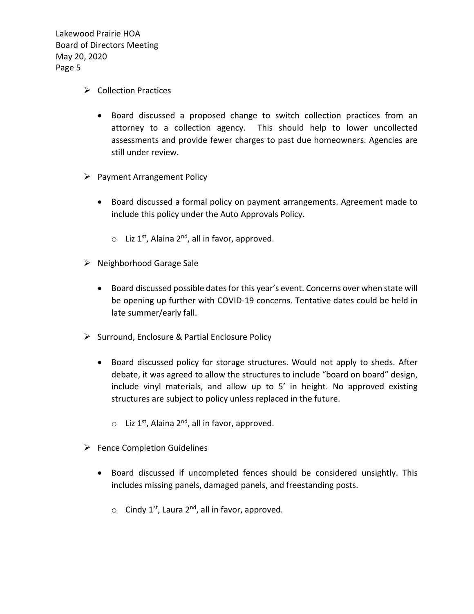- $\triangleright$  Collection Practices
	- Board discussed a proposed change to switch collection practices from an attorney to a collection agency. This should help to lower uncollected assessments and provide fewer charges to past due homeowners. Agencies are still under review.
- $\triangleright$  Payment Arrangement Policy
	- Board discussed a formal policy on payment arrangements. Agreement made to include this policy under the Auto Approvals Policy.
		- $\circ$  Liz 1<sup>st</sup>, Alaina 2<sup>nd</sup>, all in favor, approved.
- $\triangleright$  Neighborhood Garage Sale
	- Board discussed possible dates for this year's event. Concerns over when state will be opening up further with COVID-19 concerns. Tentative dates could be held in late summer/early fall.
- $\triangleright$  Surround, Enclosure & Partial Enclosure Policy
	- Board discussed policy for storage structures. Would not apply to sheds. After debate, it was agreed to allow the structures to include "board on board" design, include vinyl materials, and allow up to 5' in height. No approved existing structures are subject to policy unless replaced in the future.
		- $\circ$  Liz 1<sup>st</sup>, Alaina 2<sup>nd</sup>, all in favor, approved.
- $\triangleright$  Fence Completion Guidelines
	- Board discussed if uncompleted fences should be considered unsightly. This includes missing panels, damaged panels, and freestanding posts.
		- $\circ$  Cindy 1<sup>st</sup>, Laura 2<sup>nd</sup>, all in favor, approved.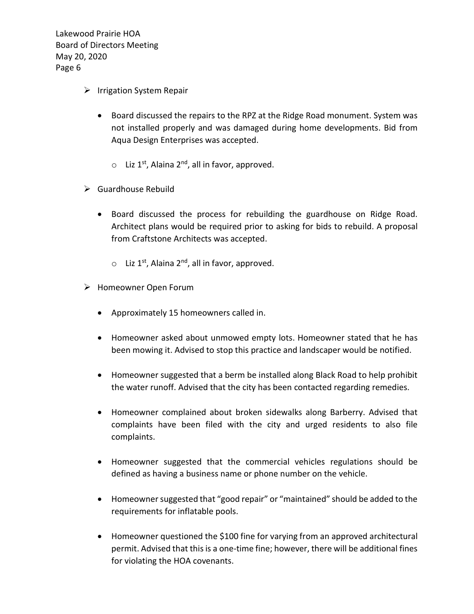- $\triangleright$  Irrigation System Repair
	- Board discussed the repairs to the RPZ at the Ridge Road monument. System was not installed properly and was damaged during home developments. Bid from Aqua Design Enterprises was accepted.
		- $\circ$  Liz 1<sup>st</sup>, Alaina 2<sup>nd</sup>, all in favor, approved.
- $\triangleright$  Guardhouse Rebuild
	- Board discussed the process for rebuilding the guardhouse on Ridge Road. Architect plans would be required prior to asking for bids to rebuild. A proposal from Craftstone Architects was accepted.
		- $\circ$  Liz 1<sup>st</sup>, Alaina 2<sup>nd</sup>, all in favor, approved.
- Homeowner Open Forum
	- Approximately 15 homeowners called in.
	- Homeowner asked about unmowed empty lots. Homeowner stated that he has been mowing it. Advised to stop this practice and landscaper would be notified.
	- Homeowner suggested that a berm be installed along Black Road to help prohibit the water runoff. Advised that the city has been contacted regarding remedies.
	- Homeowner complained about broken sidewalks along Barberry. Advised that complaints have been filed with the city and urged residents to also file complaints.
	- Homeowner suggested that the commercial vehicles regulations should be defined as having a business name or phone number on the vehicle.
	- Homeowner suggested that "good repair" or "maintained" should be added to the requirements for inflatable pools.
	- Homeowner questioned the \$100 fine for varying from an approved architectural permit. Advised that this is a one-time fine; however, there will be additional fines for violating the HOA covenants.